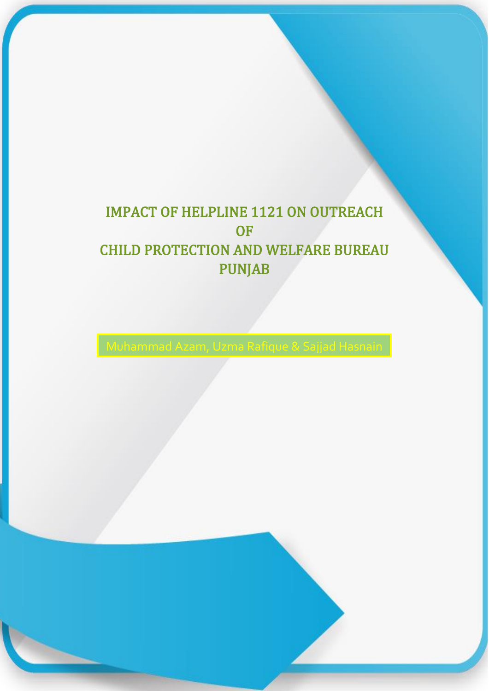# IMPACT OF HELPLINE 1121 ON OUTREACH **OF** CHILD PROTECTION AND WELFARE BUREAU PUNJAB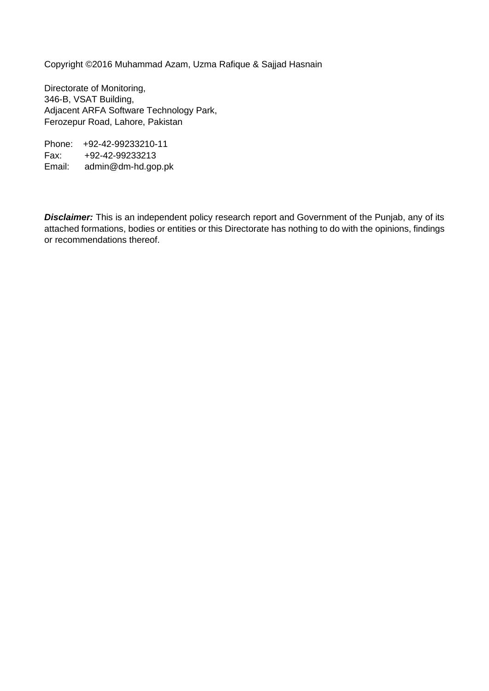Copyright ©2016 Muhammad Azam, Uzma Rafique & Sajjad Hasnain

Directorate of Monitoring, 346-B, VSAT Building, Adjacent ARFA Software Technology Park, Ferozepur Road, Lahore, Pakistan

Phone: +92-42-99233210-11 Fax: +92-42-99233213 Email: admin@dm-hd.gop.pk

*Disclaimer:* This is an independent policy research report and Government of the Punjab, any of its attached formations, bodies or entities or this Directorate has nothing to do with the opinions, findings or recommendations thereof.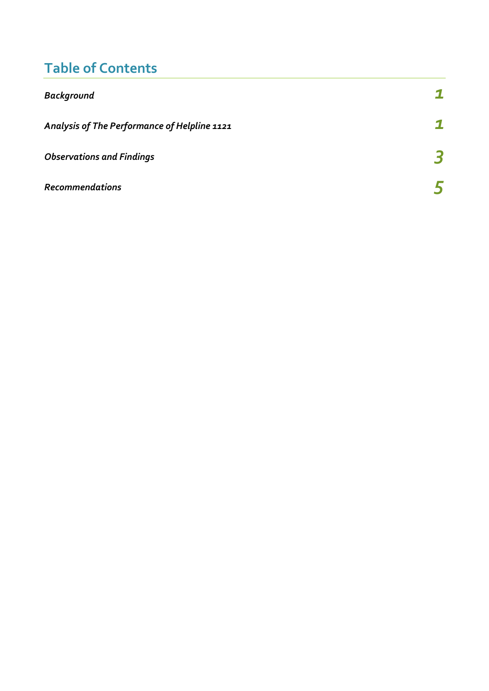# **Table of Contents**

| <b>Background</b>                            |  |
|----------------------------------------------|--|
| Analysis of The Performance of Helpline 1121 |  |
| <b>Observations and Findings</b>             |  |
| <b>Recommendations</b>                       |  |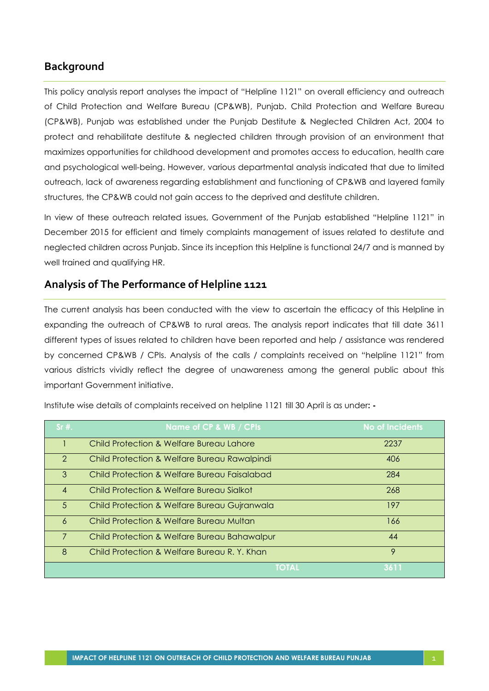## <span id="page-3-0"></span>**Background**

This policy analysis report analyses the impact of "Helpline 1121" on overall efficiency and outreach of Child Protection and Welfare Bureau (CP&WB), Punjab. Child Protection and Welfare Bureau (CP&WB), Punjab was established under the Punjab Destitute & Neglected Children Act, 2004 to protect and rehabilitate destitute & neglected children through provision of an environment that maximizes opportunities for childhood development and promotes access to education, health care and psychological well-being. However, various departmental analysis indicated that due to limited outreach, lack of awareness regarding establishment and functioning of CP&WB and layered family structures, the CP&WB could not gain access to the deprived and destitute children.

In view of these outreach related issues, Government of the Punjab established "Helpline 1121" in December 2015 for efficient and timely complaints management of issues related to destitute and neglected children across Punjab. Since its inception this Helpline is functional 24/7 and is manned by well trained and qualifying HR.

#### <span id="page-3-1"></span>**Analysis of The Performance of Helpline 1121**

The current analysis has been conducted with the view to ascertain the efficacy of this Helpline in expanding the outreach of CP&WB to rural areas. The analysis report indicates that till date 3611 different types of issues related to children have been reported and help / assistance was rendered by concerned CP&WB / CPIs. Analysis of the calls / complaints received on "helpline 1121" from various districts vividly reflect the degree of unawareness among the general public about this important Government initiative.

| $Sr#$ .        | Name of CP & WB / CPIs                       | <b>No of Incidents</b> |
|----------------|----------------------------------------------|------------------------|
|                | Child Protection & Welfare Bureau Lahore     | 2237                   |
| $\mathcal{P}$  | Child Protection & Welfare Bureau Rawalpindi | 406                    |
| 3              | Child Protection & Welfare Bureau Faisalabad | 284                    |
| $\overline{A}$ | Child Protection & Welfare Bureau Sialkot    | 268                    |
| $5^{\circ}$    | Child Protection & Welfare Bureau Gujranwala | 197                    |
| 6              | Child Protection & Welfare Bureau Multan     | 166                    |
| $\overline{7}$ | Child Protection & Welfare Bureau Bahawalpur | 44                     |
| 8              | Child Protection & Welfare Bureau R. Y. Khan | 9                      |
|                | <b>TOTAL</b>                                 | 3611                   |

Institute wise details of complaints received on helpline 1121 till 30 April is as under**: -**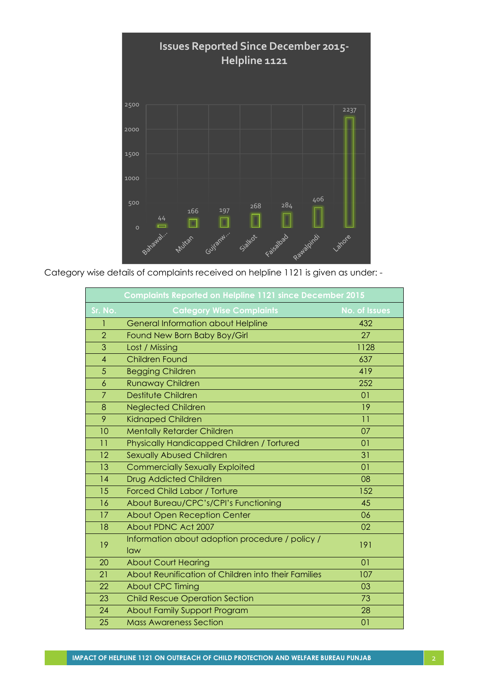

Category wise details of complaints received on helpline 1121 is given as under: -

|                 | Complaints Reported on Helpline 1121 since December 2015 |                |  |
|-----------------|----------------------------------------------------------|----------------|--|
| Sr. No.         | <b>Category Wise Complaints</b>                          | No. of Issues  |  |
| 1               | <b>General Information about Helpline</b>                | 432            |  |
| $\overline{2}$  | Found New Born Baby Boy/Girl                             | 27             |  |
| 3               | Lost / Missing                                           | 1128           |  |
| 4               | <b>Children Found</b>                                    | 637            |  |
| 5               | <b>Begging Children</b>                                  | 419            |  |
| $\ddot{\delta}$ | <b>Runaway Children</b>                                  | 252            |  |
| $\overline{7}$  | Destitute Children                                       | 01             |  |
| 8               | <b>Neglected Children</b>                                | 19             |  |
| 9               | <b>Kidnaped Children</b>                                 | 11             |  |
| 10              | <b>Mentally Retarder Children</b>                        | 07             |  |
| 11              | Physically Handicapped Children / Tortured               | 01             |  |
| 12              | <b>Sexually Abused Children</b>                          | 31             |  |
| 13              | <b>Commercially Sexually Exploited</b>                   | 0 <sub>1</sub> |  |
| 14              | <b>Drug Addicted Children</b>                            | 08             |  |
| 15              | <b>Forced Child Labor / Torture</b>                      | 152            |  |
| 16              | About Bureau/CPC's/CPI's Functioning                     | 45             |  |
| 17              | <b>About Open Reception Center</b>                       | 06             |  |
| 18              | About PDNC Act 2007                                      | 02             |  |
| 19              | Information about adoption procedure / policy /<br>law   | 191            |  |
| 20              | <b>About Court Hearing</b>                               | 01             |  |
| 21              | About Reunification of Children into their Families      | 107            |  |
| 22              | <b>About CPC Timing</b>                                  | 03             |  |
| 23              | <b>Child Rescue Operation Section</b>                    | 73             |  |
| 24              | About Family Support Program                             | 28             |  |
| 25              | <b>Mass Awareness Section</b>                            | 01             |  |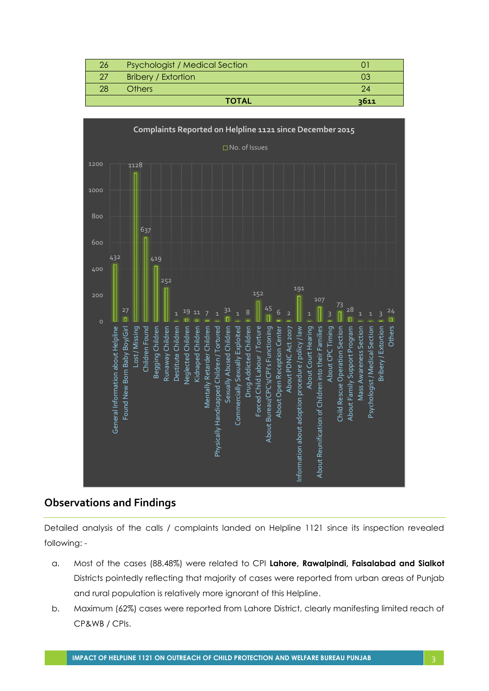| 26 | <b>Psychologist / Medical Section</b> |      |
|----|---------------------------------------|------|
|    | <b>Bribery / Extortion</b>            |      |
| 28 | Others                                |      |
|    | <b>TOTAL</b>                          | 3611 |

<span id="page-5-0"></span>

## **Observations and Findings**

Detailed analysis of the calls / complaints landed on Helpline 1121 since its inspection revealed following: -

- a. Most of the cases (88.48%) were related to CPI **Lahore, Rawalpindi, Faisalabad and Sialkot** Districts pointedly reflecting that majority of cases were reported from urban areas of Punjab and rural population is relatively more ignorant of this Helpline.
- b. Maximum (62%) cases were reported from Lahore District, clearly manifesting limited reach of CP&WB / CPIs.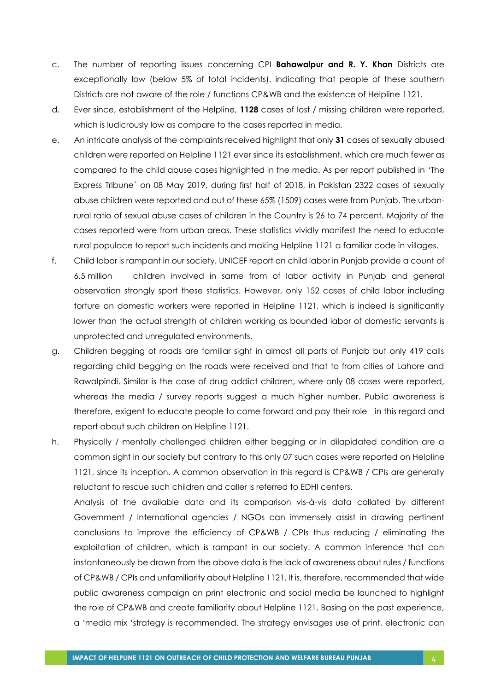- c. The number of reporting issues concerning CPI **Bahawalpur and R. Y. Khan** Districts are exceptionally low (below 5% of total incidents), indicating that people of these southern Districts are not aware of the role / functions CP&WB and the existence of Helpline 1121.
- d. Ever since, establishment of the Helpline, **1128** cases of lost / missing children were reported, which is ludicrously low as compare to the cases reported in media.
- e. An intricate analysis of the complaints received highlight that only **31** cases of sexually abused children were reported on Helpline 1121 ever since its establishment, which are much fewer as compared to the child abuse cases highlighted in the media. As per report published in 'The Express Tribune´ on 08 May 2019, during first half of 2018, in Pakistan 2322 cases of sexually abuse children were reported and out of these 65% (1509) cases were from Punjab. The urbanrural ratio of sexual abuse cases of children in the Country is 26 to 74 percent. Majority of the cases reported were from urban areas. These statistics vividly manifest the need to educate rural populace to report such incidents and making Helpline 1121 a familiar code in villages.
- f. Child labor is rampant in our society. UNICEF report on child labor in Punjab provide a count of 6.5 million children involved in same from of labor activity in Punjab and general observation strongly sport these statistics. However, only 152 cases of child labor including torture on domestic workers were reported in Helpline 1121, which is indeed is significantly lower than the actual strength of children working as bounded labor of domestic servants is unprotected and unregulated environments.
- g. Children begging of roads are familiar sight in almost all parts of Punjab but only 419 calls regarding child begging on the roads were received and that to from cities of Lahore and Rawalpindi. Similar is the case of drug addict children, where only 08 cases were reported, whereas the media / survey reports suggest a much higher number. Public awareness is therefore, exigent to educate people to come forward and pay their role in this regard and report about such children on Helpline 1121.
- h. Physically / mentally challenged children either begging or in dilapidated condition are a common sight in our society but contrary to this only 07 such cases were reported on Helpline 1121, since its inception. A common observation in this regard is CP&WB / CPIs are generally reluctant to rescue such children and caller is referred to EDHI centers.

Analysis of the available data and its comparison vis-à-vis data collated by different Government / International agencies / NGOs can immensely assist in drawing pertinent conclusions to improve the efficiency of CP&WB / CPIs thus reducing / eliminating the exploitation of children, which is rampant in our society. A common inference that can instantaneously be drawn from the above data is the lack of awareness about rules / functions of CP&WB / CPIs and unfamiliarity about Helpline 1121. It is, therefore, recommended that wide public awareness campaign on print electronic and social media be launched to highlight the role of CP&WB and create familiarity about Helpline 1121. Basing on the past experience, a 'media mix 'strategy is recommended. The strategy envisages use of print, electronic can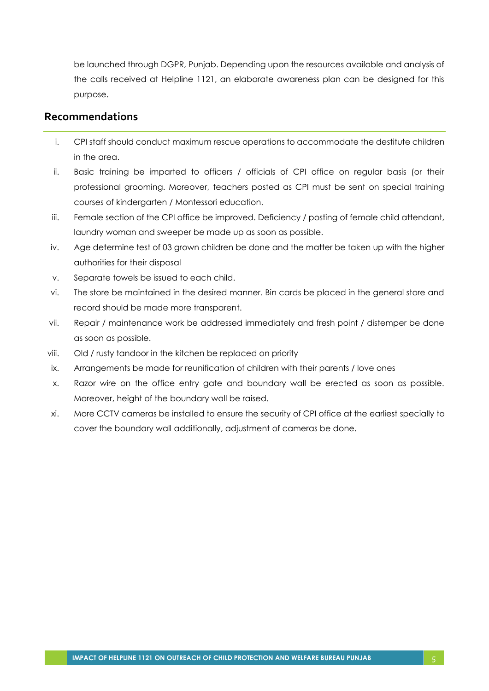be launched through DGPR, Punjab. Depending upon the resources available and analysis of the calls received at Helpline 1121, an elaborate awareness plan can be designed for this purpose.

#### <span id="page-7-0"></span>**Recommendations**

- i. CPI staff should conduct maximum rescue operations to accommodate the destitute children in the area.
- ii. Basic training be imparted to officers / officials of CPI office on regular basis (or their professional grooming. Moreover, teachers posted as CPI must be sent on special training courses of kindergarten / Montessori education.
- iii. Female section of the CPI office be improved. Deficiency / posting of female child attendant, laundry woman and sweeper be made up as soon as possible.
- iv. Age determine test of 03 grown children be done and the matter be taken up with the higher authorities for their disposal
- v. Separate towels be issued to each child.
- vi. The store be maintained in the desired manner. Bin cards be placed in the general store and record should be made more transparent.
- vii. Repair / maintenance work be addressed immediately and fresh point / distemper be done as soon as possible.
- viii. Old / rusty tandoor in the kitchen be replaced on priority
- ix. Arrangements be made for reunification of children with their parents / love ones
- x. Razor wire on the office entry gate and boundary wall be erected as soon as possible. Moreover, height of the boundary wall be raised.
- xi. More CCTV cameras be installed to ensure the security of CPI office at the earliest specially to cover the boundary wall additionally, adjustment of cameras be done.